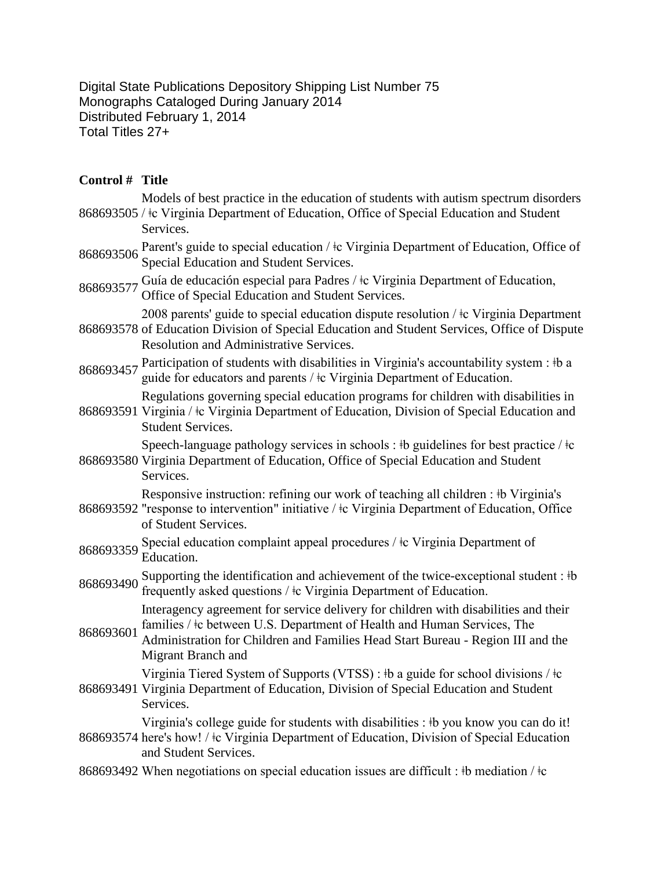Digital State Publications Depository Shipping List Number 75 Monographs Cataloged During January 2014 Distributed February 1, 2014 Total Titles 27+

## **Control # Title**

|           | Models of best practice in the education of students with autism spectrum disorders<br>868693505 / ‡c Virginia Department of Education, Office of Special Education and Student<br>Services.                                                                                 |
|-----------|------------------------------------------------------------------------------------------------------------------------------------------------------------------------------------------------------------------------------------------------------------------------------|
| 868693506 | Parent's guide to special education / $\pm c$ Virginia Department of Education, Office of<br>Special Education and Student Services.                                                                                                                                         |
| 868693577 | Guía de educación especial para Padres / ‡c Virginia Department of Education,<br>Office of Special Education and Student Services.                                                                                                                                           |
|           | 2008 parents' guide to special education dispute resolution / ‡c Virginia Department<br>868693578 of Education Division of Special Education and Student Services, Office of Dispute<br><b>Resolution and Administrative Services.</b>                                       |
| 868693457 | Participation of students with disabilities in Virginia's accountability system : #b a<br>guide for educators and parents / ‡c Virginia Department of Education.                                                                                                             |
|           | Regulations governing special education programs for children with disabilities in<br>868693591 Virginia / ‡c Virginia Department of Education, Division of Special Education and<br><b>Student Services.</b>                                                                |
|           | Speech-language pathology services in schools : $\frac{1}{2}$ b guidelines for best practice / $\frac{1}{2}$<br>868693580 Virginia Department of Education, Office of Special Education and Student<br>Services.                                                             |
|           | Responsive instruction: refining our work of teaching all children : #b Virginia's<br>868693592 "response to intervention" initiative / ‡c Virginia Department of Education, Office<br>of Student Services.                                                                  |
| 868693359 | Special education complaint appeal procedures / ‡c Virginia Department of<br>Education.                                                                                                                                                                                      |
| 868693490 | Supporting the identification and achievement of the twice-exceptional student : #b<br>frequently asked questions / $\pm c$ Virginia Department of Education.                                                                                                                |
| 868693601 | Interagency agreement for service delivery for children with disabilities and their<br>families / $\pm c$ between U.S. Department of Health and Human Services, The<br>Administration for Children and Families Head Start Bureau - Region III and the<br>Migrant Branch and |
|           | Virginia Tiered System of Supports (VTSS) : #b a guide for school divisions / $\pm c$<br>868693491 Virginia Department of Education, Division of Special Education and Student<br>Services.                                                                                  |
|           | Virginia's college guide for students with disabilities : #b you know you can do it!<br>868693574 here's how! / ‡c Virginia Department of Education, Division of Special Education<br>and Student Services.                                                                  |
|           | 868693492 When negotiations on special education issues are difficult : #b mediation / $\pm c$                                                                                                                                                                               |